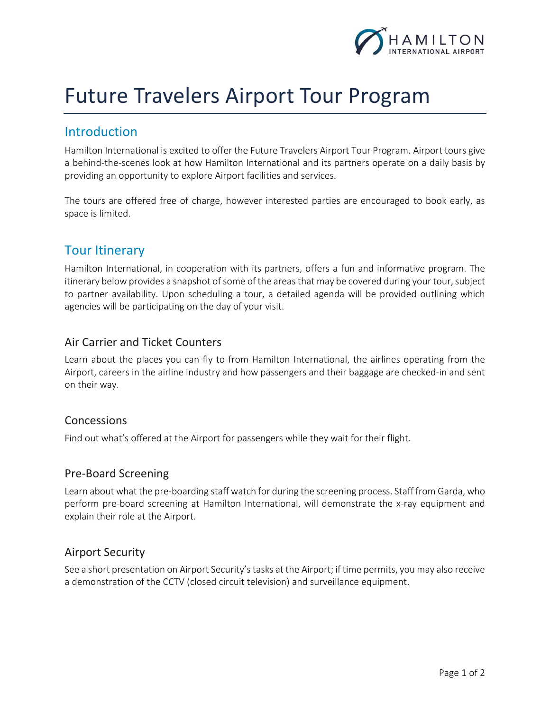

# Future Travelers Airport Tour Program

# **Introduction**

Hamilton International is excited to offer the Future Travelers Airport Tour Program. Airport tours give a behind-the-scenes look at how Hamilton International and its partners operate on a daily basis by providing an opportunity to explore Airport facilities and services.

The tours are offered free of charge, however interested parties are encouraged to book early, as space is limited.

# Tour Itinerary

Hamilton International, in cooperation with its partners, offers a fun and informative program. The itinerary below provides a snapshot of some of the areas that may be covered during your tour, subject to partner availability. Upon scheduling a tour, a detailed agenda will be provided outlining which agencies will be participating on the day of your visit.

### Air Carrier and Ticket Counters

Learn about the places you can fly to from Hamilton International, the airlines operating from the Airport, careers in the airline industry and how passengers and their baggage are checked-in and sent on their way.

#### **Concessions**

Find out what's offered at the Airport for passengers while they wait for their flight.

#### Pre-Board Screening

Learn about what the pre-boarding staff watch for during the screening process. Staff from Garda, who perform pre-board screening at Hamilton International, will demonstrate the x-ray equipment and explain their role at the Airport.

#### Airport Security

See a short presentation on Airport Security's tasks at the Airport; if time permits, you may also receive a demonstration of the CCTV (closed circuit television) and surveillance equipment.